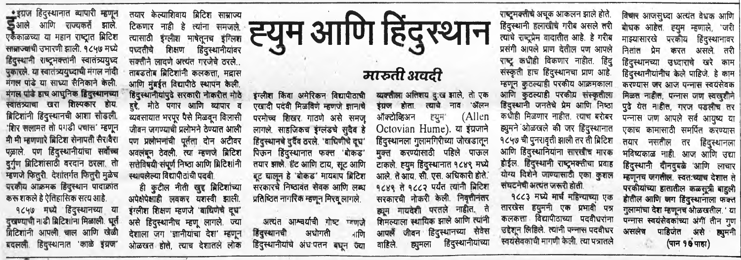<u>• इंग्रज हिंदुस्थानात व्यापारी म्हणून</u> Sआले आणि राज्यकर्त झाले. एककाळच्या या महान राष्ट्रात ब्रिटिश साम्राज्याची उभारणी झाली. १८५७ मध्ये हिंदुस्थानी राष्ट्रभक्तांनी स्वातंत्र्ययुध्द पुकारले. या स्वातंत्र्ययुध्दाची मंगल नांदी मंगल पांडे या साध्या सैनिकाने केली. मंगल पांडे हाच आधुनिक हिंदुस्थानच्या स्वातंत्र्याचा खरा शिल्पकार होय. ब्रिटिशांनी हिंदुस्थानची आशा सोडली. 'शिर सलामत तो पगडी पचास' म्हणून मी मी म्हणणारे ब्रिटिश सेनापती सैर।वैर। पळाले. पण हिंदुस्थानीयांचा सर्वोच्च दुर्गण ब्रिटिशांसाठी वरदान ठरला. तो म्हणजे फितूरी, देशांतर्गत फितूरी मुळेच परकाय आक्रमक हिंदुस्थान पादाक्रांत करू शकले हे ऐतिहासिक सत्य आहे.

१८५७ मध्ये हिंदुस्थानच्या या दुखण्याची नाडी ब्रिटिशांना मिळाली. धूर्त ब्रिटिशांनी आपली चाल आणि खेळी .बदलली. हिंदुस्थानात 'काळे इंग्रज'

पध्वतीचे शिक्षण हिंदुस्थानीयांवर सक्तीने लादणे अत्यंत गरजेचे ठरले.. ताबडतोब ब्रिटिशांनी कलकत्ता. मद्रास आणि मंबईत विद्यापीठे स्थापन केली. हिंदुस्थानीयांपुढे सरकारी नोकरीत मोठे हद्दे, मोठे पगार आणि व्यापार व व्यवसायात भरपर पैसे मिळवन विलासी जीवन जगण्याची प्रलोभने ठेण्यात आली पण प्रलोभनांची पूर्तता दोन अटीवर अवलंबन ठेवली. त्या म्हणजे ब्रिटिश सत्तेविषयी संपूर्ण निष्ठा आणि ब्रिटिशांनी स्थापलेल्या विद्यापीठांची पदवी.

ही कुटील नीती खुद ब्रिटिशांच्या अपेक्षेपेक्षाही लवकर यशस्वी झाली. इंग्लीश शिक्षण म्हणजे 'वाचिणेचे दूध' असे हिंदुस्थानीच म्हण् लागले. ज्या देशाला जग 'ज्ञानीयांचा देश' म्हणून ओळखत होते. त्याच देशातले लोक

बूट चालून हे 'बोकड' मायगाप ब्रिटिश सरकारचे निष्ठावंत सेवक आणि लब्ध प्रतिष्ठित नागरिक म्हणून मिरव् लागले. the property of the control of अत्यंत आश्वर्याची गोष्ट म्हणजे हिंदुस्थानची अधोगती <sub>नाणि</sub>

हिंदुस्थानीयांचे अंध पतन बघून ज्या

इंग्लीश किंवा अमेरिकन विद्यापीठाची

एखादी पदंवी मिळविणे म्हणजे ज्ञानाचे

परमोच्च शिखर गाठणे असे समज

लागले. साहजिकच इंग्लंडचे सुदैव हे

हिंदस्थानचे दर्दैव ठरले. 'वाधिणीचे दूध'

पिऊन हिंदुस्थानात फक्त 'बोकड'

तयार झाले. हैंट आणि टाय, सूट आणि

मारुती अवदी व्यक्तीला अतिशय दुःख झाले, तो एक इंग्रेज होता. त्याचे नाव ॲलन ऑक्टोव्हिअन ह्युम (Allen Octovian Hume). या इंग्रजाने हिंदुस्थानला गुलामगिरीच्या जोखडातून मुक्त करण्यासाठी पहिले पाऊल टाकले. ह्युम हिंदुस्थानात १८४९ मध्ये आले. ते आय. सी. एस. अधिकारी होते. १८४९ ते १८८२ पर्यंत त्यांनी ब्रिटिश सरकारची नोकरी केली. निवृत्तीनंतर ड्यूम मायदेशी परतले नाहीत. ते शिमल्याला स्थायिक झाले आणि त्यांनी आपले जीवन हिंदुस्थानच्या सेवेस वाहिले. ह्युमला हिंदुस्थानीयांच्या

राष्ट्मक्तीचे अचुक आकलन झाले होते. हिंदुस्थानी हलाखीचे गरीब असले तरी त्याचे राष्ट्रप्रेम वादातीत आहे. हे गरीब प्रसंगी आपले प्राण देतील पण आपले राष्ट्र कधीही विकणार नाहीत. हिंदू संस्कृती हाच हिंदुस्थानचा प्राण आहे. म्हणून कुठल्याही परकीय आक्रमकाला आणि कुठल्याही परकीय संस्कृतीला हिंदुस्थानी जनतेचे प्रेम आणि निष्ठा कधीही मिळणार नाहीत. त्याच बरोबर ह्युमने ओळखले की जर हिंदुस्थानात १८५७ ची पुनर।वृत्ती झाली तर ती ब्रिटिश आणि हिंदुस्थानियांना सारखाच मारक होईल. हिंदुस्थानी राष्ट्रभक्तीचा प्रवाह योग्य दिशेने जाण्यासाठी एका कुशल संघटनेची अत्यंत जरूरी होती. १८८३ मध्ये मार्च महिन्याच्या एक तारखेस हयुननी एक प्रभावी पत्र कलकत्ता विद्यापीठाच्या पदवीधरांना उद्देशून लिहिले. त्यांनी पन्नास पदवोधर स्वयंसेवकाची मागणी केली. त्या पत्रातले

विचार आजसृध्दा अत्यंत वेधक आणि बोधक आहेत. ह्युम म्हणाले, 'जरी माझ्यासारखे परकाय हिंदुस्थानावर नितांत प्रेम करत असले तरी हिंदुस्थानच्या उध्दाराचे खरे काम हिंदूस्थानीयांनीच केले पाहिजे. हे काम करण्यास जर आज पन्नास स्वयंसेवक मिळत नाहीत, पन्नास जण स्वखुशीने पुढे येत नाहीत, गरज पडलीच तर पन्नास जण आपले सर्व आयुष्य या एकाच कामासाठी समर्पित करण्यास तयार नसतील तर हिंदस्थानला भविष्यकाळ नाही. आज आणि उद्या हिंदुस्थानी दोनदुबळे आणि लाचार म्हणूनच जगतील. स्वतःच्याच देशात ते परकीयांच्या हातातील कळसूत्री बाहुली होतील आणि जग हिंदुस्थानाला फक्त गुलामांचा देश म्हणूनच ओळखतील.' या पन्नास स्वयंसेवकांच्या अंगीं तीन गुण असलेच पाहिजेत असे ह्युमनी  $(4173904181)$